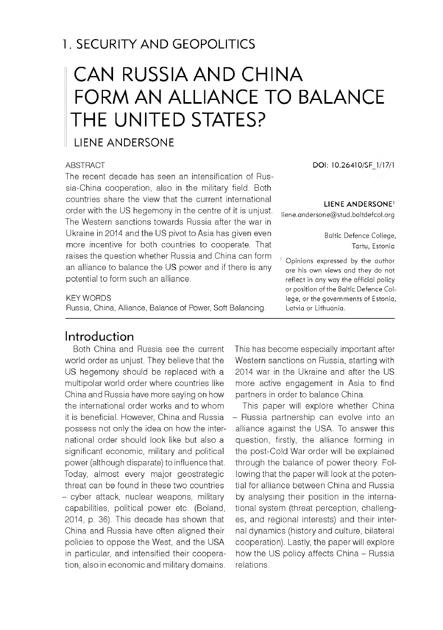# 1. SECURITY AND GEOPOLITICS

# CAN RUSSIA AND CHINA FORM AN ALLIANCE TO BALANCE THE UNITED STATES?

#### LIENE ANDERSONE

#### **ABSTRACT**

The recent decade has seen an intensification of Russia-China cooperation, also in the military field. Both countries share the view that the current international order with the US hegemony in the centre of it is unjust. The Western sanctions towards Russia after the war in Ukraine in 2014 and the US pivot to Asia has given even more incentive for both countries to cooperate. That raises the question whether Russia and China can form an alliance to balance the US power and if there is any potential to form such an alliance.

#### KEY WORDS

Russia, China, Alliance, Balance of Power, Soft Balancing.

#### Introduction

Both China and Russia see the current world order as unjust. They believe that the US hegemony should be replaced with a multipolar world order where countries like China and Russia have more saying on how the international order works and to whom it is beneficial. However, China and Russia possess not only the idea on how the international order should look like but also a significant economic, military and political power (although disparate) to influence that. Today, almost every major geostrategic threat can be found in these two countries - cyber attack, nuclear weapons, military capabilities, political power etc. (Boland, 2014, p. 36). This decade has shown that China and Russia have often aligned their policies to oppose the West, and the USA in particular, and intensified their cooperation, also in economic and military domains.

**DOI: 10.26410/SF 1/17/1**

#### **LIENE ANDERSONE<sup>1</sup>**

liene.andersone@stud.baltdefcol.org

Baltic Defence College, Tartu, Estonia

Opinions expressed by the author are his own views and they do not reflect in any way the official policy or position of the Baltic Defence College, or the governments of Estonia. Latvia or Lithuania.

This has become especially important after Western sanctions on Russia, starting with 2014 war in the Ukraine and after the US more active engagement in Asia to find partners in order to balance China.

This paper will explore whether China - Russia partnership can evolve into an alliance against the USA. To answer this question, firstly, the alliance forming in the post-Cold War order will be explained through the balance of power theory. Following that the paper will look at the potential for alliance between China and Russia by analysing their position in the international system (threat perception, challenges, and regional interests) and their internal dynamics (history and culture, bilateral cooperation). Lastly, the paper will explore how the US policy affects China - Russia relations.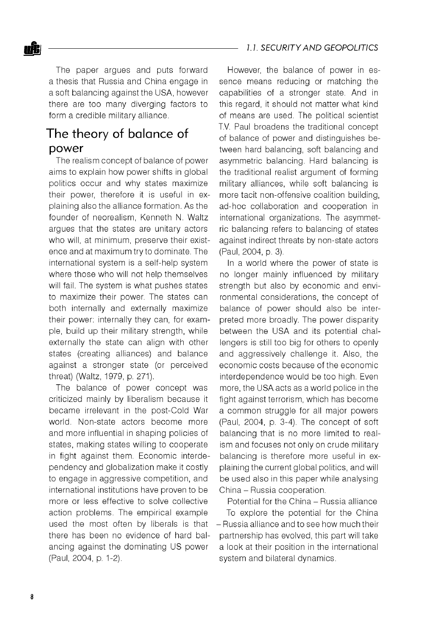**nftj** *1.1. SECU R ITY AND GEOPOLITICS*

The paper argues and puts forward a thesis that Russia and China engage in a soft balancing against the USA, however there are too many diverging factors to form a credible military alliance.

### The theory of balance of power

The realism concept of balance of power aims to explain how power shifts in global politics occur and why states maximize their power, therefore it is useful in explaining also the alliance formation. As the founder of neorealism, Kenneth N. Waltz argues that the states are unitary actors who will, at minimum, preserve their existence and at maximum try to dominate. The international system is a self-help system where those who will not help themselves will fail. The system is what pushes states to maximize their power. The states can both internally and externally maximize their power: internally they can, for example, build up their military strength, while externally the state can align with other states (creating alliances) and balance against a stronger state (or perceived threat) (Waltz, 1979, p. 271).

The balance of power concept was criticized mainly by liberalism because it became irrelevant in the post-Cold War world. Non-state actors become more and more influential in shaping policies of states, making states willing to cooperate in fight against them. Economic interdependency and globalization make it costly to engage in aggressive competition, and international institutions have proven to be more or less effective to solve collective action problems. The empirical example used the most often by liberals is that there has been no evidence of hard balancing against the dominating US power (Paul, 2004, p. 1-2).

However, the balance of power in essence means reducing or matching the capabilities of a stronger state. And in this regard, it should not matter what kind of means are used. The political scientist T.V. Paul broadens the traditional concept of balance of power and distinguishes between hard balancing, soft balancing and asymmetric balancing. Hard balancing is the traditional realist argument of forming military alliances, while soft balancing is more tacit non-offensive coalition building, ad-hoc collaboration and cooperation in international organizations. The asymmetric balancing refers to balancing of states against indirect threats by non-state actors (Paul, 2004, p. 3).

In a world where the power of state is no longer mainly influenced by military strength but also by economic and environmental considerations, the concept of balance of power should also be interpreted more broadly. The power disparity between the USA and its potential challengers is still too big for others to openly and aggressively challenge it. Also, the economic costs because of the economic interdependence would be too high. Even more, the USA acts as a world police in the fight against terrorism, which has become a common struggle for all major powers (Paul, 2004, p. 3-4). The concept of soft balancing that is no more limited to realism and focuses not only on crude military balancing is therefore more useful in explaining the current global politics, and will be used also in this paper while analysing China - Russia cooperation.

Potential for the China - Russia alliance To explore the potential for the China - Russia alliance and to see how much their partnership has evolved, this part will take a look at their position in the international system and bilateral dynamics.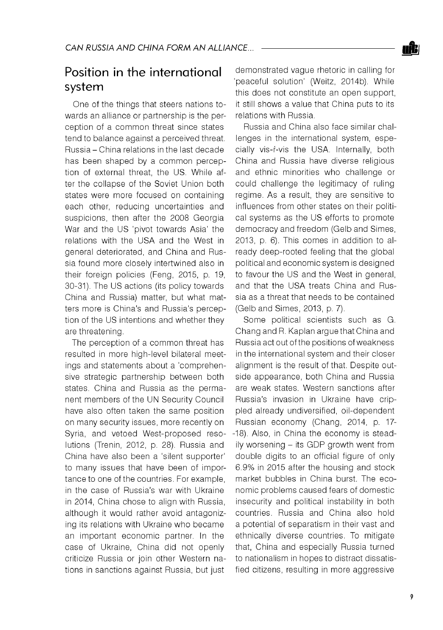### Position in the international system

One of the things that steers nations towards an alliance or partnership is the perception of a common threat since states tend to balance against a perceived threat. Russia - China relations in the last decade has been shaped by a common perception of external threat, the US. While after the collapse of the Soviet Union both states were more focused on containing each other, reducing uncertainties and suspicions, then after the 2008 Georgia War and the US 'pivot towards Asia' the relations with the USA and the West in general deteriorated, and China and Russia found more closely intertwined also in their foreign policies (Feng, 2015, p. 19, 30-31). The US actions (its policy towards China and Russia) matter, but what matters more is China's and Russia's perception of the US intentions and whether they are threatening.

The perception of a common threat has resulted in more high-level bilateral meetings and statements about a 'comprehensive strategic partnership between both states. China and Russia as the permanent members of the UN Security Council have also often taken the same position on many security issues, more recently on Syria, and vetoed West-proposed resolutions (Trenin, 2012, p. 28). Russia and China have also been a 'silent supporter' to many issues that have been of importance to one of the countries. For example, in the case of Russia's war with Ukraine in 2014, China chose to align with Russia, although it would rather avoid antagonizing its relations with Ukraine who became an important economic partner. In the case of Ukraine, China did not openly criticize Russia or join other Western nations in sanctions against Russia, but just

demonstrated vague rhetoric in calling for 'peaceful solution' (Weitz, 2014b). While this does not constitute an open support, it still shows a value that China puts to its relations with Russia.

Russia and China also face similar challenges in the international system, especially vis-f-vis the USA. Internally, both China and Russia have diverse religious and ethnic minorities who challenge or could challenge the legitimacy of ruling regime. As a result, they are sensitive to influences from other states on their political systems as the US efforts to promote democracy and freedom (Gelb and Simes, 2013, p. 6). This comes in addition to already deep-rooted feeling that the global political and economic system is designed to favour the US and the West in general, and that the USA treats China and Russia as a threat that needs to be contained (Gelb and Simes, 2013, p. 7).

Some political scientists such as G. Chang and R. Kaplan argue that China and Russia act out of the positions of weakness in the international system and their closer alignment is the result of that. Despite outside appearance, both China and Russia are weak states. Western sanctions after Russia's invasion in Ukraine have crippled already undiversified, oil-dependent Russian economy (Chang, 2014, p. 17 -18). Also, in China the economy is steadily worsening - its GDP growth went from double digits to an official figure of only 6.9% in 2015 after the housing and stock market bubbles in China burst. The economic problems caused fears of domestic insecurity and political instability in both countries. Russia and China also hold a potential of separatism in their vast and ethnically diverse countries. To mitigate that, China and especially Russia turned to nationalism in hopes to distract dissatisfied citizens, resulting in more aggressive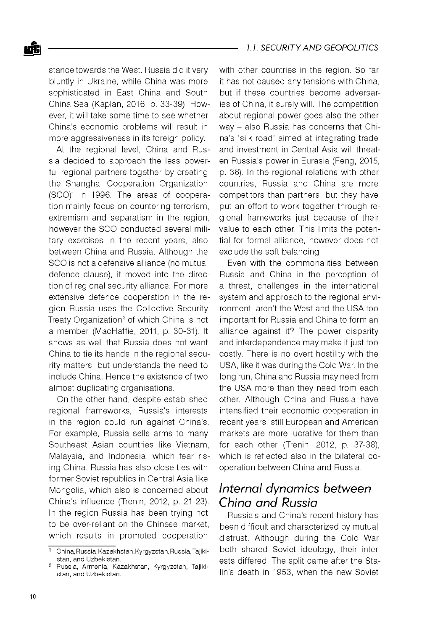#### **oftj** *1.1. SECU R ITY AND GEOPOLITICS*

stance towards the West. Russia did it very bluntly in Ukraine, while China was more sophisticated in East China and South China Sea (Kaplan, 2016, p. 33-39). However, it will take some time to see whether China's economic problems will result in more aggressiveness in its foreign policy.

At the regional level, China and Russia decided to approach the less powerful regional partners together by creating the Shanghai Cooperation Organization (SCO)1 in 1996. The areas of cooperation mainly focus on countering terrorism, extremism and separatism in the region, however the SCO conducted several military exercises in the recent years, also between China and Russia. Although the SCO is not a defensive alliance (no mutual defence clause), it moved into the direction of regional security alliance. For more extensive defence cooperation in the region Russia uses the Collective Security Treaty Organization<sup>2</sup> of which China is not a member (MacHaffie, 2011, p. 30-31). It shows as well that Russia does not want China to tie its hands in the regional security matters, but understands the need to include China. Hence the existence of two almost duplicating organisations.

On the other hand, despite established regional frameworks, Russia's interests in the region could run against China's. For example, Russia sells arms to many Southeast Asian countries like Vietnam, Malaysia, and Indonesia, which fear rising China. Russia has also close ties with former Soviet republics in Central Asia like Mongolia, which also is concerned about China's influence (Trenin, 2012, p. 21-23). In the region Russia has been trying not to be over-reliant on the Chinese market, which results in promoted cooperation

with other countries in the region. So far it has not caused any tensions with China, but if these countries become adversaries of China, it surely will. The competition about regional power goes also the other way - also Russia has concerns that China's 'silk road' aimed at integrating trade and investment in Central Asia will threaten Russia's power in Eurasia (Feng, 2015, p. 36). In the regional relations with other countries, Russia and China are more competitors than partners, but they have put an effort to work together through regional frameworks just because of their value to each other. This limits the potential for formal alliance, however does not exclude the soft balancing.

Even with the commonalities between Russia and China in the perception of a threat, challenges in the international system and approach to the regional environment, aren't the West and the USA too important for Russia and China to form an alliance against it? The power disparity and interdependence may make it just too costly. There is no overt hostility with the USA, like it was during the Cold War. In the long run, China and Russia may need from the USA more than they need from each other. Although China and Russia have intensified their economic cooperation in recent years, still European and American markets are more lucrative for them than for each other (Trenin, 2012, p. 37-38), which is reflected also in the bilateral cooperation between China and Russia.

### *Internal dynamics between China and Russia*

Russia's and China's recent history has been difficult and characterized by mutual distrust. Although during the Cold War both shared Soviet ideology, their interests differed. The split came after the Stalin's death in 1953, when the new Soviet

<sup>1</sup> China, Russia, Kazakhstan, Kyrgyzstan, Russia, Tajikistan, and Uzbekistan.

<sup>2</sup> Russia, Armenia, Kazakhstan, Kyrgyzstan, Tajikistan, and Uzbekistan.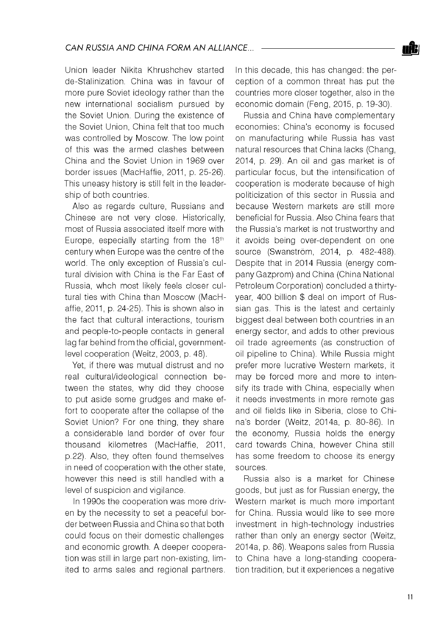Union leader Nikita Khrushchev started de-Stalinization. China was in favour of more pure Soviet ideology rather than the new international socialism pursued by the Soviet Union. During the existence of the Soviet Union, China felt that too much was controlled by Moscow. The low point of this was the armed clashes between China and the Soviet Union in 1969 over border issues (MacHaffie, 2011, p. 25-26). This uneasy history is still felt in the leadership of both countries.

Also as regards culture, Russians and Chinese are not very close. Historically, most of Russia associated itself more with Europe, especially starting from the 18th century when Europe was the centre of the world. The only exception of Russia's cultural division with China is the Far East of Russia, whch most likely feels closer cultural ties with China than Moscow (MacHaffie, 2011, p. 24-25). This is shown also in the fact that cultural interactions, tourism and people-to-people contacts in general lag far behind from the official, governmentlevel cooperation (Weitz, 2003, p. 48).

Yet, if there was mutual distrust and no real cultural/ideological connection between the states, why did they choose to put aside some grudges and make effort to cooperate after the collapse of the Soviet Union? For one thing, they share a considerable land border of over four thousand kilometres (MacHaffie, 2011, p.22). Also, they often found themselves in need of cooperation with the other state, however this need is still handled with a level of suspicion and vigilance.

In 1990s the cooperation was more driven by the necessity to set a peaceful border between Russia and China so that both could focus on their domestic challenges and economic growth. A deeper cooperation was still in large part non-existing, limited to arms sales and regional partners.

In this decade, this has changed: the perception of a common threat has put the countries more closer together, also in the economic domain (Feng, 2015, p. 19-30).

Russia and China have complementary economies: China's economy is focused on manufacturing while Russia has vast natural resources that China lacks (Chang, 2014, p. 29). An oil and gas market is of particular focus, but the intensification of cooperation is moderate because of high politicization of this sector in Russia and because Western markets are still more beneficial for Russia. Also China fears that the Russia's market is not trustworthy and it avoids being over-dependent on one source (Swanström, 2014, p. 482-488). Despite that in 2014 Russia (energy company Gazprom) and China (China National Petroleum Corporation) concluded a thirtyyear, 400 billion \$ deal on import of Russian gas. This is the latest and certainly biggest deal between both countries in an energy sector, and adds to other previous oil trade agreements (as construction of oil pipeline to China). While Russia might prefer more lucrative Western markets, it may be forced more and more to intensify its trade with China, especially when it needs investments in more remote gas and oil fields like in Siberia, close to China's border (Weitz, 2014a, p. 80-86). In the economy, Russia holds the energy card towards China, however China still has some freedom to choose its energy sources.

Russia also is a market for Chinese goods, but just as for Russian energy, the Western market is much more important for China. Russia would like to see more investment in high-technology industries rather than only an energy sector (Weitz, 2014a, p. 86). Weapons sales from Russia to China have a long-standing cooperation tradition, but it experiences a negative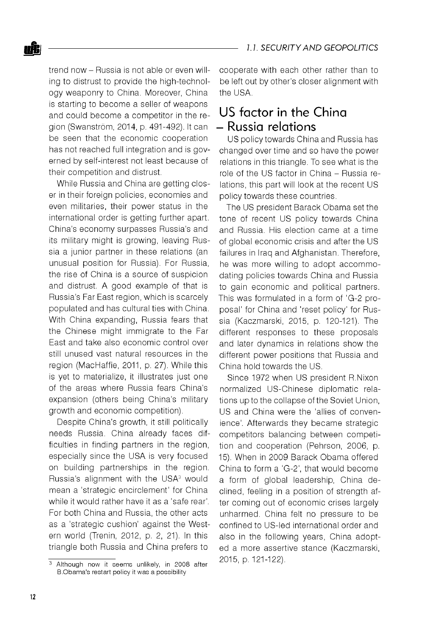trend now - Russia is not able or even willing to distrust to provide the high-technology weaponry to China. Moreover, China is starting to become a seller of weapons and could become a competitor in the region (Swanström, 2014, p. 491-492). It can be seen that the economic cooperation has not reached full integration and is governed by self-interest not least because of their competition and distrust.

While Russia and China are getting closer in their foreign policies, economies and even militaries, their power status in the international order is getting further apart. China's economy surpasses Russia's and its military might is growing, leaving Russia a junior partner in these relations (an unusual position for Russia). For Russia, the rise of China is a source of suspicion and distrust. A good example of that is Russia's Far East region, which is scarcely populated and has cultural ties with China. With China expanding, Russia fears that the Chinese might immigrate to the Far East and take also economic control over still unused vast natural resources in the region (MacHaffie, 2011, p. 27). While this is yet to materialize, it illustrates just one of the areas where Russia fears China's expansion (others being China's military growth and economic competition).

Despite China's growth, it still politically needs Russia. China already faces difficulties in finding partners in the region, especially since the USA is very focused on building partnerships in the region. Russia's alignment with the USA<sup>3</sup> would mean a 'strategic encirclement' for China while it would rather have it as a 'safe rear'. For both China and Russia, the other acts as a 'strategic cushion' against the Western world (Trenin, 2012, p. 2, 21). In this triangle both Russia and China prefers to

cooperate with each other rather than to be left out by other's closer alignment with the USA.

## US factor in the China - Russia relations

US policy towards China and Russia has changed over time and so have the power relations in this triangle. To see what is the role of the US factor in China - Russia relations, this part will look at the recent US policy towards these countries.

The US president Barack Obama set the tone of recent US policy towards China and Russia. His election came at a time of global economic crisis and after the US failures in Iraq and Afghanistan. Therefore, he was more willing to adopt accommodating policies towards China and Russia to gain economic and political partners. This was formulated in a form of 'G-2 proposal' for China and 'reset policy' for Russia (Kaczmarski, 2015, p. 120-121). The different responses to these proposals and later dynamics in relations show the different power positions that Russia and China hold towards the US.

Since 1972 when US president R.Nixon normalized US-Chinese diplomatic relations up to the collapse of the Soviet Union, US and China were the 'allies of convenience'. Afterwards they became strategic competitors balancing between competition and cooperation (Pehrson, 2006, p. 15). When in 2009 Barack Obama offered China to form a 'G-2', that would become a form of global leadership, China declined, feeling in a position of strength after coming out of economic crises largely unharmed. China felt no pressure to be confined to US-led international order and also in the following years, China adopted a more assertive stance (Kaczmarski, 2015, p. 121-122).

 $\overline{3}$  Although now it seems unlikely, in 2008 after B.Obama's restart policy it was a possibility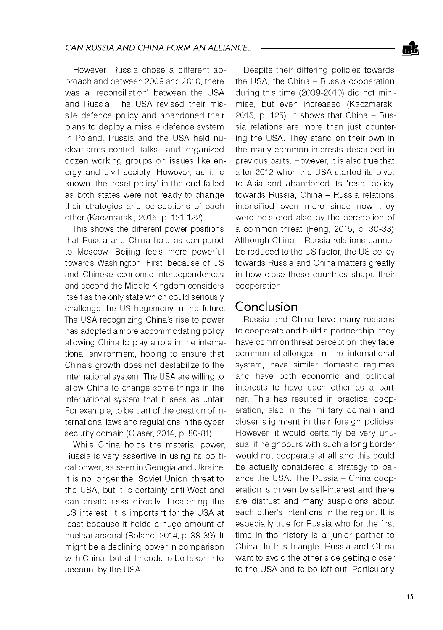However, Russia chose a different approach and between 2009 and 2010, there was a 'reconciliation' between the USA and Russia. The USA revised their missile defence policy and abandoned their plans to deploy a missile defence system in Poland. Russia and the USA held nuclear-arms-control talks, and organized dozen working groups on issues like energy and civil society. However, as it is known, the 'reset policy' in the end failed as both states were not ready to change their strategies and perceptions of each other (Kaczmarski, 2015, p. 121-122).

This shows the different power positions that Russia and China hold as compared to Moscow, Beijing feels more powerful towards Washington. First, because of US and Chinese economic interdependences and second the Middle Kingdom considers itself as the only state which could seriously challenge the US hegemony in the future. The USA recognizing China's rise to power has adopted a more accommodating policy allowing China to play a role in the international environment, hoping to ensure that China's growth does not destabilize to the international system. The USA are willing to allow China to change some things in the international system that it sees as unfair. For example, to be part of the creation of international laws and regulations in the cyber security domain (Glaser, 2014, p. 80-81).

While China holds the material power, Russia is very assertive in using its political power, as seen in Georgia and Ukraine. It is no longer the 'Soviet Union' threat to the USA, but it is certainly anti-West and can create risks directly threatening the US interest. It is important for the USA at least because it holds a huge amount of nuclear arsenal (Boland, 2014, p. 38-39). It might be a declining power in comparison with China, but still needs to be taken into account by the USA.

Despite their differing policies towards the USA, the China - Russia cooperation during this time (2009-2010) did not minimise, but even increased (Kaczmarski,  $2015$ , p. 125). It shows that China  $-$  Russia relations are more than just countering the USA. They stand on their own in the many common interests described in previous parts. However, it is also true that after 2012 when the USA started its pivot to Asia and abandoned its 'reset policy' towards Russia, China - Russia relations intensified even more since now they were bolstered also by the perception of a common threat (Feng, 2015, p. 30-33). Although China - Russia relations cannot be reduced to the US factor, the US policy towards Russia and China matters greatly in how close these countries shape their cooperation.

### Conclusion

Russia and China have many reasons to cooperate and build a partnership: they have common threat perception, they face common challenges in the international system, have similar domestic regimes and have both economic and political interests to have each other as a partner. This has resulted in practical cooperation, also in the military domain and closer alignment in their foreign policies. However, it would certainly be very unusual if neighbours with such a long border would not cooperate at all and this could be actually considered a strategy to balance the USA. The Russia - China cooperation is driven by self-interest and there are distrust and many suspicions about each other's intentions in the region. It is especially true for Russia who for the first time in the history is a junior partner to China. In this triangle, Russia and China want to avoid the other side getting closer to the USA and to be left out. Particularly,

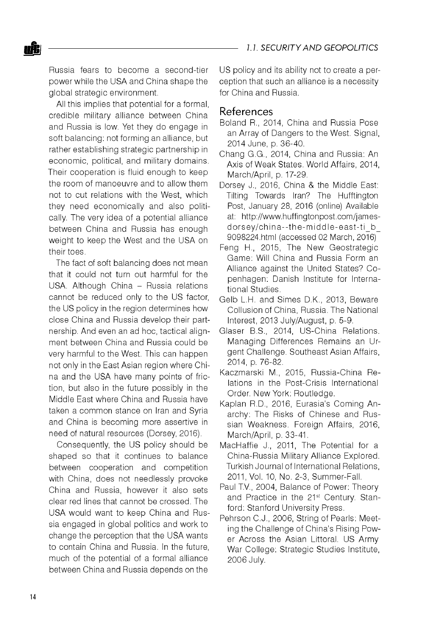Russia fears to become a second-tier power while the USA and China shape the global strategic environment.

All this implies that potential for a formal, credible military alliance between China and Russia is low. Yet they do engage in soft balancing: not forming an alliance, but rather establishing strategic partnership in economic, political, and military domains. Their cooperation is fluid enough to keep the room of manoeuvre and to allow them not to cut relations with the West, which they need economically and also politically. The very idea of a potential alliance between China and Russia has enough weight to keep the West and the USA on their toes.

The fact of soft balancing does not mean that it could not turn out harmful for the USA. Although China - Russia relations cannot be reduced only to the US factor, the US policy in the region determines how close China and Russia develop their partnership. And even an ad hoc, tactical alignment between China and Russia could be very harmful to the West. This can happen not only in the East Asian region where China and the USA have many points of friction, but also in the future possibly in the Middle East where China and Russia have taken a common stance on Iran and Syria and China is becoming more assertive in need of natural resources (Dorsey, 2016).

Consequently, the US policy should be shaped so that it continues to balance between cooperation and competition with China, does not needlessly provoke China and Russia, however it also sets clear red lines that cannot be crossed. The USA would want to keep China and Russia engaged in global politics and work to change the perception that the USA wants to contain China and Russia. In the future, much of the potential of a formal alliance between China and Russia depends on the

US policy and its ability not to create a perception that such an alliance is a necessity for China and Russia.

#### References

- Boland R., 2014, China and Russia Pose an Array of Dangers to the West. Signal, 2014 June, p. 36-40.
- Chang G.G., 2014, China and Russia: An Axis of Weak States. World Affairs, 2014, March/April, p. 17-29.
- Dorsey J., 2016, China & the Middle East: Tilting Towards Iran? The Hufftington Post, January 28, 2016 (online) Available at: [http://www.huffingtonpost.com/james](http://www.huffingtonpost.com/james-)dorsey/china--the-middle-east-ti\_b 9098224.html (accessed 02 March, 2016)
- Feng H., 2015, The New Geostrategic Game: Will China and Russia Form an Alliance against the United States? Copenhagen: Danish Institute for International Studies.
- Gelb L.H. and Simes D.K., 2013, Beware Collusion of China, Russia. The National Interest, 2013 July/August, p. 5-9.
- Glaser B.S., 2014, US-China Relations. Managing Differences Remains an Urgent Challenge. Southeast Asian Affairs, 2014, p. 76-82.
- Kaczmarski M., 2015, Russia-China Relations in the Post-Crisis International Order. New York: Routledge.
- Kaplan R.D., 2016, Eurasia's Coming Anarchy: The Risks of Chinese and Russian Weakness. Foreign Affairs, 2016, March/April, p. 33-41.
- MacHaffie J., 2011, The Potential for a China-Russia Military Alliance Explored. Turkish Journal of International Relations, 2011, Vol. 10, No. 2-3, Summer-Fall.
- Paul TV., 2004, Balance of Power: Theory and Practice in the 21<sup>st</sup> Century. Stanford: Stanford University Press.
- Pehrson C.J., 2006, String of Pearls: Meeting the Challenge of China's Rising Power Across the Asian Littoral. US Army War College: Strategic Studies Institute, 2006 July.